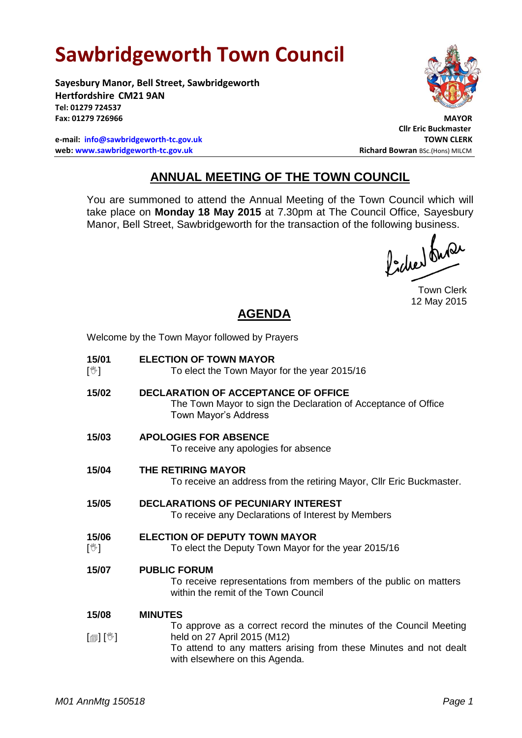# **Sawbridgeworth Town Council**

Welcome by the Town Mayor followed by Prayers

**Sayesbury Manor, Bell Street, Sawbridgeworth Hertfordshire CM21 9AN Tel: 01279 724537 Fax: 01279 726966 MAYOR**

**e-mail: [info@sawbridgeworth-tc.gov.uk](mailto:info@sawbridgeworth-tc.gov.uk) TOWN CLERK web: www.sawbridgeworth-tc.gov.uk Richard Bowran BSc.(Hons) MILCM Richard Bowran BSc.(Hons) MILCM** 



**Cllr Eric Buckmaster**

## **ANNUAL MEETING OF THE TOWN COUNCIL**

You are summoned to attend the Annual Meeting of the Town Council which will take place on **Monday 18 May 2015** at 7.30pm at The Council Office, Sayesbury Manor, Bell Street, Sawbridgeworth for the transaction of the following business.<br>  $\int_{1}^{1} \int \mathbf{M} \mathbf{M}$ 

Town Clerk 12 May 2015

## **AGENDA**

| 15/01<br>$[\mathbb{V}]$    | <b>ELECTION OF TOWN MAYOR</b><br>To elect the Town Mayor for the year 2015/16                                                                                                                           |
|----------------------------|---------------------------------------------------------------------------------------------------------------------------------------------------------------------------------------------------------|
| 15/02                      | <b>DECLARATION OF ACCEPTANCE OF OFFICE</b><br>The Town Mayor to sign the Declaration of Acceptance of Office<br>Town Mayor's Address                                                                    |
| 15/03                      | <b>APOLOGIES FOR ABSENCE</b><br>To receive any apologies for absence                                                                                                                                    |
| 15/04                      | <b>THE RETIRING MAYOR</b><br>To receive an address from the retiring Mayor, Cllr Eric Buckmaster.                                                                                                       |
| 15/05                      | <b>DECLARATIONS OF PECUNIARY INTEREST</b><br>To receive any Declarations of Interest by Members                                                                                                         |
| 15/06<br>$[\mathbb{V}]$    | <b>ELECTION OF DEPUTY TOWN MAYOR</b><br>To elect the Deputy Town Mayor for the year 2015/16                                                                                                             |
| 15/07                      | <b>PUBLIC FORUM</b><br>To receive representations from members of the public on matters<br>within the remit of the Town Council                                                                         |
| 15/08                      | <b>MINUTES</b>                                                                                                                                                                                          |
| $\mathbb{D}[\mathbb{D}^1]$ | To approve as a correct record the minutes of the Council Meeting<br>held on 27 April 2015 (M12)<br>To attend to any matters arising from these Minutes and not dealt<br>with elsewhere on this Agenda. |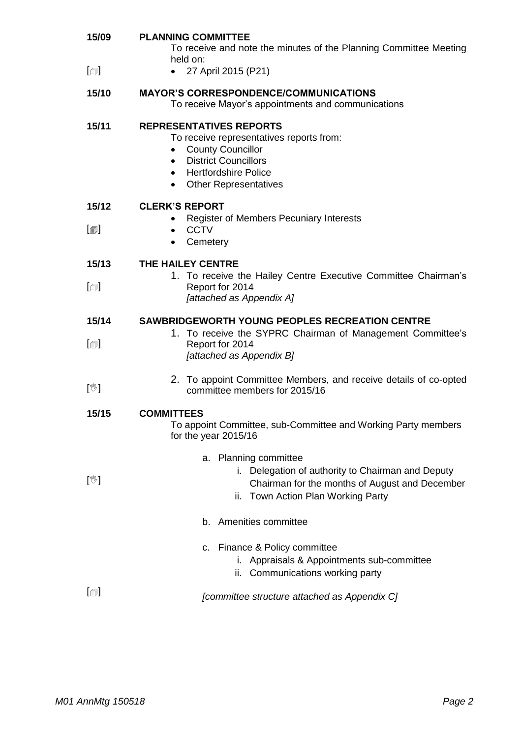| 15/09                        | <b>PLANNING COMMITTEE</b><br>To receive and note the minutes of the Planning Committee Meeting<br>held on:                                                                                                                                  |  |  |  |
|------------------------------|---------------------------------------------------------------------------------------------------------------------------------------------------------------------------------------------------------------------------------------------|--|--|--|
| $[\blacksquare]$             | 27 April 2015 (P21)<br>$\bullet$                                                                                                                                                                                                            |  |  |  |
| 15/10                        | <b>MAYOR'S CORRESPONDENCE/COMMUNICATIONS</b><br>To receive Mayor's appointments and communications                                                                                                                                          |  |  |  |
| 15/11                        | <b>REPRESENTATIVES REPORTS</b><br>To receive representatives reports from:<br><b>County Councillor</b><br><b>District Councillors</b><br>$\bullet$<br><b>Hertfordshire Police</b><br>$\bullet$<br><b>Other Representatives</b><br>$\bullet$ |  |  |  |
| 15/12                        | <b>CLERK'S REPORT</b>                                                                                                                                                                                                                       |  |  |  |
| $\lceil \circledcirc \rceil$ | <b>Register of Members Pecuniary Interests</b><br><b>CCTV</b><br>$\bullet$<br>Cemetery<br>$\bullet$                                                                                                                                         |  |  |  |
| 15/13                        | THE HAILEY CENTRE                                                                                                                                                                                                                           |  |  |  |
| $[\blacksquare]$             | 1. To receive the Hailey Centre Executive Committee Chairman's<br>Report for 2014<br>[attached as Appendix A]                                                                                                                               |  |  |  |
|                              |                                                                                                                                                                                                                                             |  |  |  |
| 15/14                        | <b>SAWBRIDGEWORTH YOUNG PEOPLES RECREATION CENTRE</b>                                                                                                                                                                                       |  |  |  |
| $[\blacksquare]$             | 1. To receive the SYPRC Chairman of Management Committee's<br>Report for 2014<br>[attached as Appendix B]                                                                                                                                   |  |  |  |
| $[\mathbb{V}]$               | 2. To appoint Committee Members, and receive details of co-opted<br>committee members for 2015/16                                                                                                                                           |  |  |  |
| 15/15                        | <b>COMMITTEES</b><br>To appoint Committee, sub-Committee and Working Party members<br>for the year 2015/16                                                                                                                                  |  |  |  |
| $[\mathbb{V}]$               | a. Planning committee<br>Delegation of authority to Chairman and Deputy<br>$\mathbf{L}$<br>Chairman for the months of August and December<br>Town Action Plan Working Party<br>ii.                                                          |  |  |  |
|                              | b. Amenities committee                                                                                                                                                                                                                      |  |  |  |
|                              | c. Finance & Policy committee<br>i. Appraisals & Appointments sub-committee<br>ii. Communications working party                                                                                                                             |  |  |  |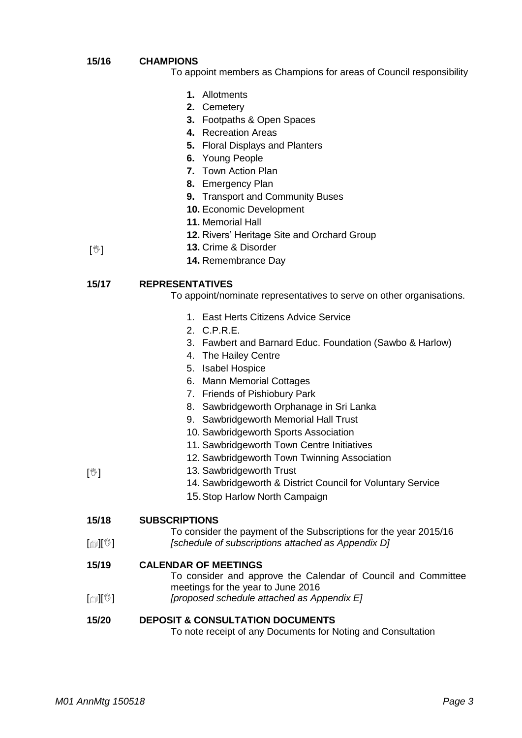#### **15/16 CHAMPIONS**

- To appoint members as Champions for areas of Council responsibility
	- **1.** Allotments
	- **2.** Cemetery
	- **3.** Footpaths & Open Spaces
	- **4.** Recreation Areas
	- **5.** Floral Displays and Planters
	- **6.** Young People
	- **7.** Town Action Plan
	- **8.** Emergency Plan
	- **9.** Transport and Community Buses
	- **10.** Economic Development
	- **11.** Memorial Hall
	- **12.** Rivers' Heritage Site and Orchard Group
- $\mathbb{N}$ **13.** Crime & Disorder
	- **14.** Remembrance Day

#### **15/17 REPRESENTATIVES**

To appoint/nominate representatives to serve on other organisations.

- 1. East Herts Citizens Advice Service
- 2. C.P.R.E.
- 3. Fawbert and Barnard Educ. Foundation (Sawbo & Harlow)
- 4. The Hailey Centre
- 5. Isabel Hospice
- 6. Mann Memorial Cottages
- 7. Friends of Pishiobury Park
- 8. Sawbridgeworth Orphanage in Sri Lanka
- 9. Sawbridgeworth Memorial Hall Trust
- 10. Sawbridgeworth Sports Association
- 11. Sawbridgeworth Town Centre Initiatives
- 12. Sawbridgeworth Town Twinning Association
- 13. Sawbridgeworth Trust
	- 14. Sawbridgeworth & District Council for Voluntary Service
	- 15.Stop Harlow North Campaign

#### **15/18 SUBSCRIPTIONS**

 $\mathbb{I}$   $\mathbb{I}$ To consider the payment of the Subscriptions for the year 2015/16

*[schedule of subscriptions attached as Appendix D]*

#### **15/19 CALENDAR OF MEETINGS**

To consider and approve the Calendar of Council and Committee meetings for the year to June 2016

 $[\circledcirc\mathbb{I}[\mathbb{C}^{\mathbb{Z}}]$ *[proposed schedule attached as Appendix E]*

### **15/20 DEPOSIT & CONSULTATION DOCUMENTS**

To note receipt of any Documents for Noting and Consultation

 $\mathbb{N}$ ]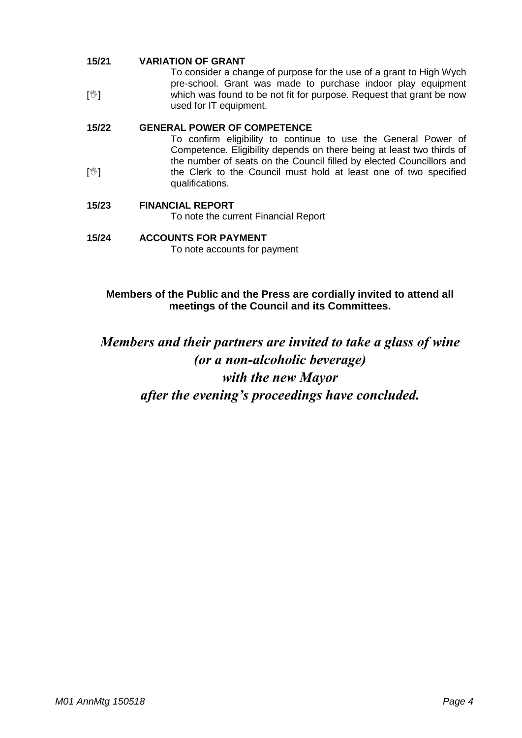#### **15/21 VARIATION OF GRANT**

 $\mathbb{Z}$ To consider a change of purpose for the use of a grant to High Wych pre-school. Grant was made to purchase indoor play equipment which was found to be not fit for purpose. Request that grant be now used for IT equipment.

#### **15/22 GENERAL POWER OF COMPETENCE**

 $\mathbb{C}$ To confirm eligibility to continue to use the General Power of Competence. Eligibility depends on there being at least two thirds of the number of seats on the Council filled by elected Councillors and the Clerk to the Council must hold at least one of two specified qualifications.

### **15/23 FINANCIAL REPORT**

To note the current Financial Report

### **15/24 ACCOUNTS FOR PAYMENT**

To note accounts for payment

### **Members of the Public and the Press are cordially invited to attend all meetings of the Council and its Committees.**

## *Members and their partners are invited to take a glass of wine (or a non-alcoholic beverage) with the new Mayor after the evening's proceedings have concluded.*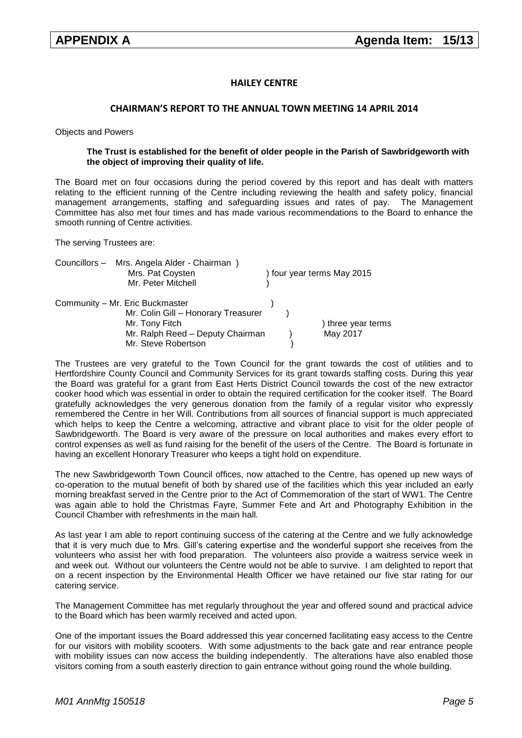### **HAILEY CENTRE**

### **CHAIRMAN'S REPORT TO THE ANNUAL TOWN MEETING 14 APRIL 2014**

Objects and Powers

#### **The Trust is established for the benefit of older people in the Parish of Sawbridgeworth with the object of improving their quality of life.**

The Board met on four occasions during the period covered by this report and has dealt with matters relating to the efficient running of the Centre including reviewing the health and safety policy, financial management arrangements, staffing and safeguarding issues and rates of pay. The Management Committee has also met four times and has made various recommendations to the Board to enhance the smooth running of Centre activities.

The serving Trustees are:

| Councillors - Mrs. Angela Alder - Chairman |                            |
|--------------------------------------------|----------------------------|
| Mrs. Pat Coysten                           | ) four year terms May 2015 |
| Mr. Peter Mitchell                         |                            |
| Community - Mr. Eric Buckmaster            |                            |
| Mr. Colin Gill - Honorary Treasurer        |                            |
| Mr. Tony Fitch                             | ) three year terms         |
| Mr. Ralph Reed - Deputy Chairman           | May 2017                   |
| Mr. Steve Robertson                        |                            |

The Trustees are very grateful to the Town Council for the grant towards the cost of utilities and to Hertfordshire County Council and Community Services for its grant towards staffing costs. During this year the Board was grateful for a grant from East Herts District Council towards the cost of the new extractor cooker hood which was essential in order to obtain the required certification for the cooker itself. The Board gratefully acknowledges the very generous donation from the family of a regular visitor who expressly remembered the Centre in her Will. Contributions from all sources of financial support is much appreciated which helps to keep the Centre a welcoming, attractive and vibrant place to visit for the older people of Sawbridgeworth. The Board is very aware of the pressure on local authorities and makes every effort to control expenses as well as fund raising for the benefit of the users of the Centre. The Board is fortunate in having an excellent Honorary Treasurer who keeps a tight hold on expenditure.

The new Sawbridgeworth Town Council offices, now attached to the Centre, has opened up new ways of co-operation to the mutual benefit of both by shared use of the facilities which this year included an early morning breakfast served in the Centre prior to the Act of Commemoration of the start of WW1. The Centre was again able to hold the Christmas Fayre, Summer Fete and Art and Photography Exhibition in the Council Chamber with refreshments in the main hall.

As last year I am able to report continuing success of the catering at the Centre and we fully acknowledge that it is very much due to Mrs. Gill's catering expertise and the wonderful support she receives from the volunteers who assist her with food preparation. The volunteers also provide a waitress service week in and week out. Without our volunteers the Centre would not be able to survive. I am delighted to report that on a recent inspection by the Environmental Health Officer we have retained our five star rating for our catering service.

The Management Committee has met regularly throughout the year and offered sound and practical advice to the Board which has been warmly received and acted upon.

One of the important issues the Board addressed this year concerned facilitating easy access to the Centre for our visitors with mobility scooters. With some adjustments to the back gate and rear entrance people with mobility issues can now access the building independently. The alterations have also enabled those visitors coming from a south easterly direction to gain entrance without going round the whole building.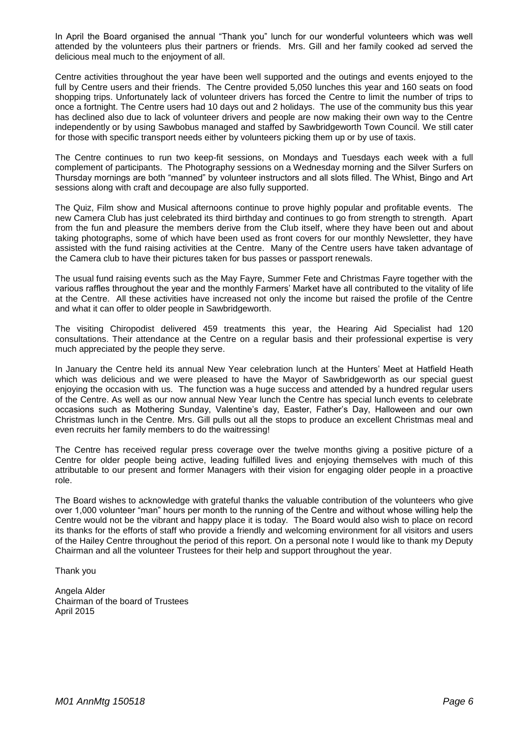In April the Board organised the annual "Thank you" lunch for our wonderful volunteers which was well attended by the volunteers plus their partners or friends. Mrs. Gill and her family cooked ad served the delicious meal much to the enjoyment of all.

Centre activities throughout the year have been well supported and the outings and events enjoyed to the full by Centre users and their friends. The Centre provided 5,050 lunches this year and 160 seats on food shopping trips. Unfortunately lack of volunteer drivers has forced the Centre to limit the number of trips to once a fortnight. The Centre users had 10 days out and 2 holidays. The use of the community bus this year has declined also due to lack of volunteer drivers and people are now making their own way to the Centre independently or by using Sawbobus managed and staffed by Sawbridgeworth Town Council. We still cater for those with specific transport needs either by volunteers picking them up or by use of taxis.

The Centre continues to run two keep-fit sessions, on Mondays and Tuesdays each week with a full complement of participants. The Photography sessions on a Wednesday morning and the Silver Surfers on Thursday mornings are both "manned" by volunteer instructors and all slots filled. The Whist, Bingo and Art sessions along with craft and decoupage are also fully supported.

The Quiz, Film show and Musical afternoons continue to prove highly popular and profitable events. The new Camera Club has just celebrated its third birthday and continues to go from strength to strength. Apart from the fun and pleasure the members derive from the Club itself, where they have been out and about taking photographs, some of which have been used as front covers for our monthly Newsletter, they have assisted with the fund raising activities at the Centre. Many of the Centre users have taken advantage of the Camera club to have their pictures taken for bus passes or passport renewals.

The usual fund raising events such as the May Fayre, Summer Fete and Christmas Fayre together with the various raffles throughout the year and the monthly Farmers' Market have all contributed to the vitality of life at the Centre. All these activities have increased not only the income but raised the profile of the Centre and what it can offer to older people in Sawbridgeworth.

The visiting Chiropodist delivered 459 treatments this year, the Hearing Aid Specialist had 120 consultations. Their attendance at the Centre on a regular basis and their professional expertise is very much appreciated by the people they serve.

In January the Centre held its annual New Year celebration lunch at the Hunters' Meet at Hatfield Heath which was delicious and we were pleased to have the Mayor of Sawbridgeworth as our special guest enjoying the occasion with us. The function was a huge success and attended by a hundred regular users of the Centre. As well as our now annual New Year lunch the Centre has special lunch events to celebrate occasions such as Mothering Sunday, Valentine's day, Easter, Father's Day, Halloween and our own Christmas lunch in the Centre. Mrs. Gill pulls out all the stops to produce an excellent Christmas meal and even recruits her family members to do the waitressing!

The Centre has received regular press coverage over the twelve months giving a positive picture of a Centre for older people being active, leading fulfilled lives and enjoying themselves with much of this attributable to our present and former Managers with their vision for engaging older people in a proactive role.

The Board wishes to acknowledge with grateful thanks the valuable contribution of the volunteers who give over 1,000 volunteer "man" hours per month to the running of the Centre and without whose willing help the Centre would not be the vibrant and happy place it is today. The Board would also wish to place on record its thanks for the efforts of staff who provide a friendly and welcoming environment for all visitors and users of the Hailey Centre throughout the period of this report. On a personal note I would like to thank my Deputy Chairman and all the volunteer Trustees for their help and support throughout the year.

Thank you

Angela Alder Chairman of the board of Trustees April 2015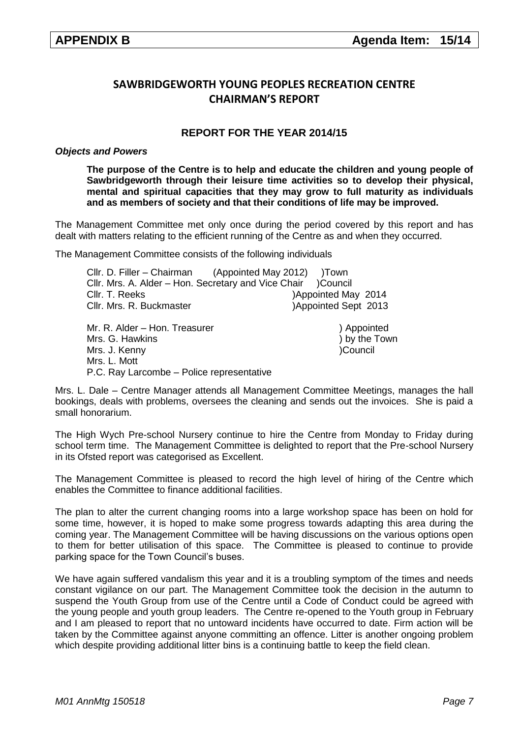### **SAWBRIDGEWORTH YOUNG PEOPLES RECREATION CENTRE CHAIRMAN'S REPORT**

### **REPORT FOR THE YEAR 2014/15**

### *Objects and Powers*

**The purpose of the Centre is to help and educate the children and young people of Sawbridgeworth through their leisure time activities so to develop their physical, mental and spiritual capacities that they may grow to full maturity as individuals and as members of society and that their conditions of life may be improved.**

The Management Committee met only once during the period covered by this report and has dealt with matters relating to the efficient running of the Centre as and when they occurred.

The Management Committee consists of the following individuals

| Cllr. D. Filler - Chairman (Appointed May 2012) )Town |                      |
|-------------------------------------------------------|----------------------|
| Cllr. Mrs. A. Alder - Hon. Secretary and Vice Chair   | Council (            |
| Cllr. T. Reeks                                        | )Appointed May 2014  |
| Cllr. Mrs. R. Buckmaster                              | )Appointed Sept 2013 |
| Mr. R. Alder – Hon. Treasurer                         | ) Appointed          |
| Mrs. G. Hawkins                                       | ) by the Town        |
| Mrs. J. Kenny                                         | )Council             |
| Mrs. L. Mott                                          |                      |
| P.C. Ray Larcombe - Police representative             |                      |

Mrs. L. Dale – Centre Manager attends all Management Committee Meetings, manages the hall bookings, deals with problems, oversees the cleaning and sends out the invoices. She is paid a small honorarium.

The High Wych Pre-school Nursery continue to hire the Centre from Monday to Friday during school term time. The Management Committee is delighted to report that the Pre-school Nursery in its Ofsted report was categorised as Excellent.

The Management Committee is pleased to record the high level of hiring of the Centre which enables the Committee to finance additional facilities.

The plan to alter the current changing rooms into a large workshop space has been on hold for some time, however, it is hoped to make some progress towards adapting this area during the coming year. The Management Committee will be having discussions on the various options open to them for better utilisation of this space. The Committee is pleased to continue to provide parking space for the Town Council's buses.

We have again suffered vandalism this year and it is a troubling symptom of the times and needs constant vigilance on our part. The Management Committee took the decision in the autumn to suspend the Youth Group from use of the Centre until a Code of Conduct could be agreed with the young people and youth group leaders. The Centre re-opened to the Youth group in February and I am pleased to report that no untoward incidents have occurred to date. Firm action will be taken by the Committee against anyone committing an offence. Litter is another ongoing problem which despite providing additional litter bins is a continuing battle to keep the field clean.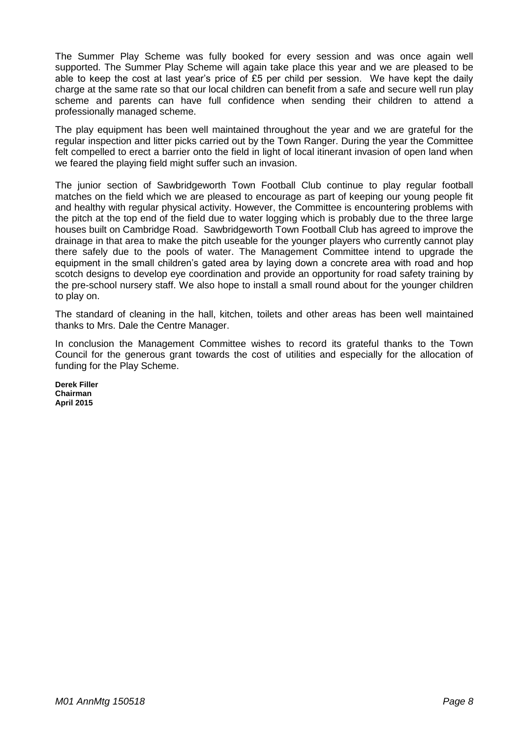The Summer Play Scheme was fully booked for every session and was once again well supported. The Summer Play Scheme will again take place this year and we are pleased to be able to keep the cost at last year's price of £5 per child per session. We have kept the daily charge at the same rate so that our local children can benefit from a safe and secure well run play scheme and parents can have full confidence when sending their children to attend a professionally managed scheme.

The play equipment has been well maintained throughout the year and we are grateful for the regular inspection and litter picks carried out by the Town Ranger. During the year the Committee felt compelled to erect a barrier onto the field in light of local itinerant invasion of open land when we feared the playing field might suffer such an invasion.

The junior section of Sawbridgeworth Town Football Club continue to play regular football matches on the field which we are pleased to encourage as part of keeping our young people fit and healthy with regular physical activity. However, the Committee is encountering problems with the pitch at the top end of the field due to water logging which is probably due to the three large houses built on Cambridge Road. Sawbridgeworth Town Football Club has agreed to improve the drainage in that area to make the pitch useable for the younger players who currently cannot play there safely due to the pools of water. The Management Committee intend to upgrade the equipment in the small children's gated area by laying down a concrete area with road and hop scotch designs to develop eye coordination and provide an opportunity for road safety training by the pre-school nursery staff. We also hope to install a small round about for the younger children to play on.

The standard of cleaning in the hall, kitchen, toilets and other areas has been well maintained thanks to Mrs. Dale the Centre Manager.

In conclusion the Management Committee wishes to record its grateful thanks to the Town Council for the generous grant towards the cost of utilities and especially for the allocation of funding for the Play Scheme.

**Derek Filler Chairman April 2015**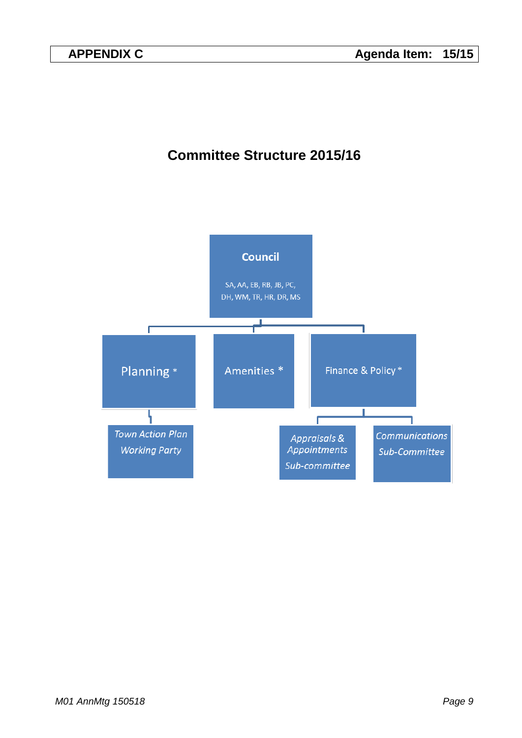## **Committee Structure 2015/16**

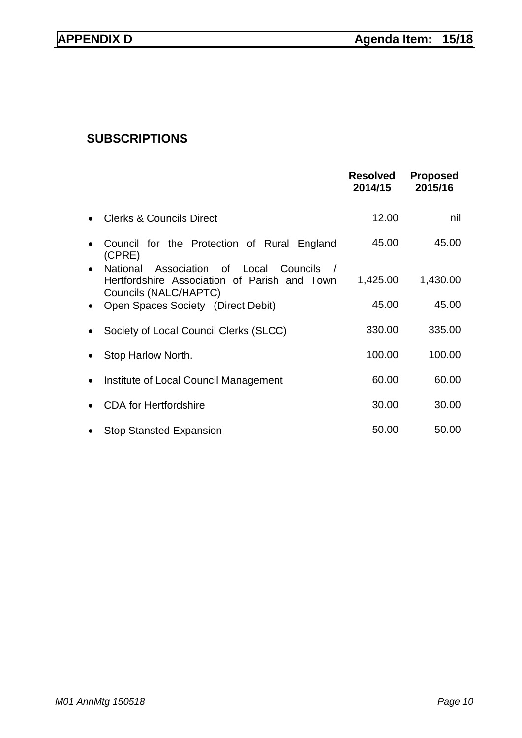## **SUBSCRIPTIONS**

|           |                                                                                                                          | <b>Resolved</b><br>2014/15 | <b>Proposed</b><br>2015/16 |
|-----------|--------------------------------------------------------------------------------------------------------------------------|----------------------------|----------------------------|
|           | <b>Clerks &amp; Councils Direct</b>                                                                                      | 12.00                      | nil                        |
|           | Council for the Protection of Rural England<br>(CPRE)                                                                    | 45.00                      | 45.00                      |
| $\bullet$ | National<br>Association<br>of Local<br>Councils<br>Hertfordshire Association of Parish and Town<br>Councils (NALC/HAPTC) | 1,425.00                   | 1,430.00                   |
| $\bullet$ | Open Spaces Society (Direct Debit)                                                                                       | 45.00                      | 45.00                      |
|           | Society of Local Council Clerks (SLCC)                                                                                   | 330.00                     | 335.00                     |
|           | Stop Harlow North.                                                                                                       | 100.00                     | 100.00                     |
| $\bullet$ | Institute of Local Council Management                                                                                    | 60.00                      | 60.00                      |
|           | <b>CDA</b> for Hertfordshire                                                                                             | 30.00                      | 30.00                      |
|           | <b>Stop Stansted Expansion</b>                                                                                           | 50.00                      | 50.00                      |